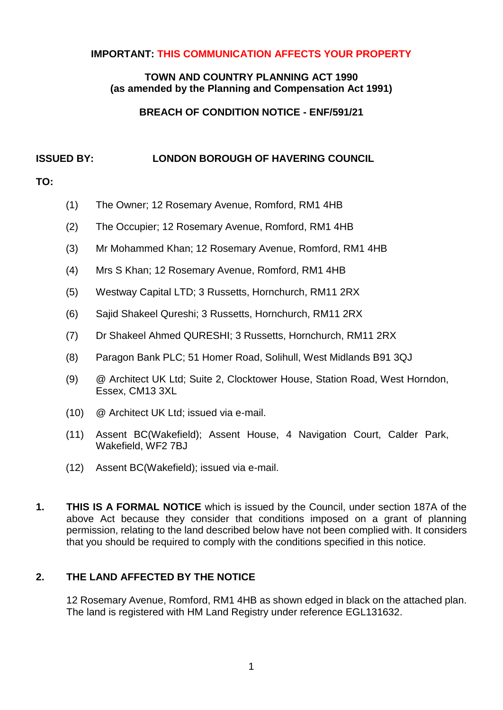#### **IMPORTANT: THIS COMMUNICATION AFFECTS YOUR PROPERTY**

### **TOWN AND COUNTRY PLANNING ACT 1990 (as amended by the Planning and Compensation Act 1991)**

**BREACH OF CONDITION NOTICE - ENF/591/21** 

### **ISSUED BY: LONDON BOROUGH OF HAVERING COUNCIL**

## **TO:**

- (1) The Owner; 12 Rosemary Avenue, Romford, RM1 4HB
- (2) The Occupier; 12 Rosemary Avenue, Romford, RM1 4HB
- (3) Mr Mohammed Khan; 12 Rosemary Avenue, Romford, RM1 4HB
- (4) Mrs S Khan; 12 Rosemary Avenue, Romford, RM1 4HB
- (5) Westway Capital LTD; 3 Russetts, Hornchurch, RM11 2RX
- (6) Sajid Shakeel Qureshi; 3 Russetts, Hornchurch, RM11 2RX
- (7) Dr Shakeel Ahmed QURESHI; 3 Russetts, Hornchurch, RM11 2RX
- (8) Paragon Bank PLC; 51 Homer Road, Solihull, West Midlands B91 3QJ
- (9) @ Architect UK Ltd; Suite 2, Clocktower House, Station Road, West Horndon, Essex, CM13 3XL
- (10) @ Architect UK Ltd; issued via e-mail.
- Wakefield, WF2 7BJ (11) Assent BC(Wakefield); Assent House, 4 Navigation Court, Calder Park,
- (12) Assent BC(Wakefield); issued via e-mail.
- **1. THIS IS A FORMAL NOTICE** which is issued by the Council, under section 187A of the above Act because they consider that conditions imposed on a grant of planning permission, relating to the land described below have not been complied with. It considers that you should be required to comply with the conditions specified in this notice.

## **2. THE LAND AFFECTED BY THE NOTICE**

 12 Rosemary Avenue, Romford, RM1 4HB as shown edged in black on the attached plan. The land is registered with HM Land Registry under reference EGL131632.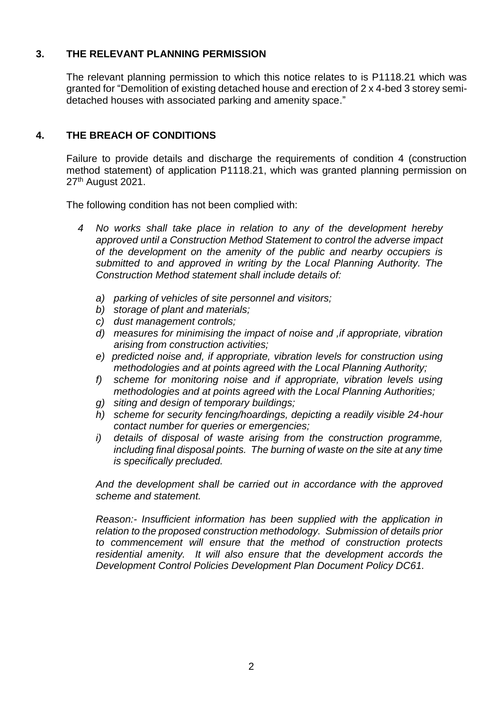## **3. THE RELEVANT PLANNING PERMISSION**

 The relevant planning permission to which this notice relates to is P1118.21 which was granted for "Demolition of existing detached house and erection of 2 x 4-bed 3 storey semidetached houses with associated parking and amenity space."

# **4. THE BREACH OF CONDITIONS**

 Failure to provide details and discharge the requirements of condition 4 (construction method statement) of application P1118.21, which was granted planning permission on 27th August 2021.

The following condition has not been complied with:

- *4 No works shall take place in relation to any of the development hereby approved until a Construction Method Statement to control the adverse impact of the development on the amenity of the public and nearby occupiers is*  submitted to and approved in writing by the Local Planning Authority. The *Construction Method statement shall include details of:* 
	- *a) parking of vehicles of site personnel and visitors;*
	- *b) storage of plant and materials;*
	- *c) dust management controls;*
	- *d) measures for minimising the impact of noise and ,if appropriate, vibration arising from construction activities;*
	- *e) predicted noise and, if appropriate, vibration levels for construction using methodologies and at points agreed with the Local Planning Authority;*
	- f) scheme for monitoring noise and if appropriate, vibration levels using  *methodologies and at points agreed with the Local Planning Authorities;*
	- *g) siting and design of temporary buildings;*
	- *h) scheme for security fencing/hoardings, depicting a readily visible 24-hour contact number for queries or emergencies;*
	- $\iint$  *including final disposal points. The burning of waste on the site at any time i) details of disposal of waste arising from the construction programme, is specifically precluded.*

 *And the development shall be carried out in accordance with the approved scheme and statement.* 

 *Reason:- Insufficient information has been supplied with the application in relation to the proposed construction methodology. Submission of details prior to commencement will ensure that the method of construction protects*  residential amenity. It will also ensure that the development accords the *Development Control Policies Development Plan Document Policy DC61.*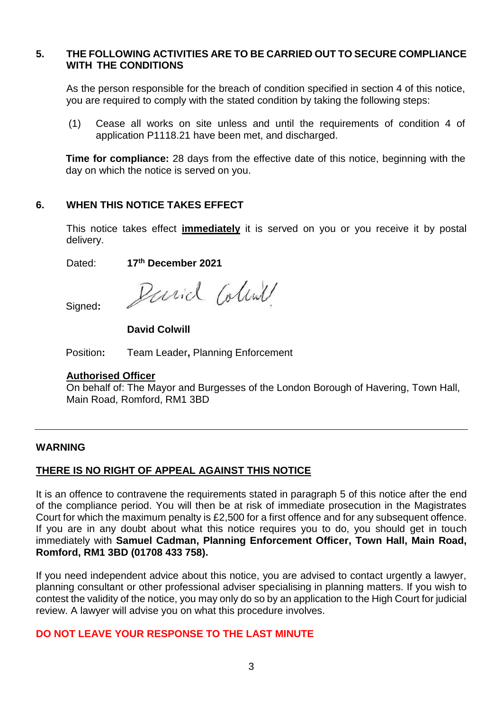### **5. THE FOLLOWING ACTIVITIES ARE TO BE CARRIED OUT TO SECURE COMPLIANCE WITH THE CONDITIONS**

 As the person responsible for the breach of condition specified in section 4 of this notice, you are required to comply with the stated condition by taking the following steps:

 (1) Cease all works on site unless and until the requirements of condition 4 of application P1118.21 have been met, and discharged.

 **Time for compliance:** 28 days from the effective date of this notice, beginning with the day on which the notice is served on you.

## **6. WHEN THIS NOTICE TAKES EFFECT**

 This notice takes effect **immediately** it is served on you or you receive it by postal delivery.

Dated: **17th December 2021** 

Parid Coline

Signed**:** 

### **David Colwill**

Position**:** Team Leader**,** Planning Enforcement

#### **Authorised Officer**

On behalf of: The Mayor and Burgesses of the London Borough of Havering, Town Hall, Main Road, Romford, RM1 3BD

## **WARNING**

# **THERE IS NO RIGHT OF APPEAL AGAINST THIS NOTICE**

 It is an offence to contravene the requirements stated in paragraph 5 of this notice after the end of the compliance period. You will then be at risk of immediate prosecution in the Magistrates Court for which the maximum penalty is £2,500 for a first offence and for any subsequent offence. If you are in any doubt about what this notice requires you to do, you should get in touch immediately with **Samuel Cadman, Planning Enforcement Officer, Town Hall, Main Road, Romford, RM1 3BD (01708 433 758).** 

 If you need independent advice about this notice, you are advised to contact urgently a lawyer, planning consultant or other professional adviser specialising in planning matters. If you wish to contest the validity of the notice, you may only do so by an application to the High Court for judicial review. A lawyer will advise you on what this procedure involves.

## **DO NOT LEAVE YOUR RESPONSE TO THE LAST MINUTE**